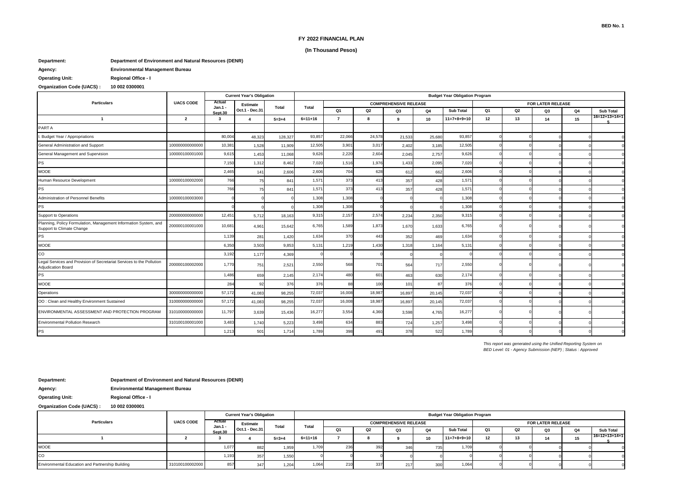### **FY 2022 FINANCIAL PLAN**

### **(In Thousand Pesos)**

## **Department: Department of Environment and Natural Resources (DENR)**

**Agency: Environmental Management Bureau**

**Operating Unit: Regional Office - I**

# **Organization Code (UACS) : 10 002 0300001**

|                                                                                               |                  | <b>Current Year's Obligation</b> |                                   |             | <b>Budget Year Obligation Program</b> |                |        |                              |        |                  |    |    |                   |    |               |  |  |
|-----------------------------------------------------------------------------------------------|------------------|----------------------------------|-----------------------------------|-------------|---------------------------------------|----------------|--------|------------------------------|--------|------------------|----|----|-------------------|----|---------------|--|--|
| <b>Particulars</b>                                                                            | <b>UACS CODE</b> | Actual<br>Jan.1 -                | <b>Estimate</b><br>Oct.1 - Dec.31 | Total       | Total                                 |                |        | <b>COMPREHENSIVE RELEASE</b> |        |                  |    |    | FOR LATER RELEASE |    |               |  |  |
|                                                                                               |                  | Sept.30                          |                                   |             |                                       | Q <sub>1</sub> | Q2     | Q3                           | Q4     | <b>Sub Total</b> | Q1 | Q2 | Q3                | Q4 | Sub Total     |  |  |
| $\mathbf{1}$                                                                                  | $\overline{2}$   | 3                                | $\boldsymbol{4}$                  | $5 = 3 + 4$ | $6=11+16$                             | $\overline{7}$ | 8      | 9                            | 10     | $11=7+8+9+10$    | 12 | 13 | 14                | 15 | 16=12+13+14+1 |  |  |
| PART A                                                                                        |                  |                                  |                                   |             |                                       |                |        |                              |        |                  |    |    |                   |    |               |  |  |
| . Budget Year / Appropriations                                                                |                  | 80,00                            | 48,323                            | 128,327     | 93,857                                | 22,066         | 24,578 | 21,533                       | 25,680 | 93,857           |    |    |                   |    |               |  |  |
| General Administration and Support                                                            | 100000000000000  | 10,381                           | 1,528                             | 11,909      | 12,505                                | 3,901          | 3,01   | 2,402                        | 3,185  | 12,505           |    |    |                   |    |               |  |  |
| General Management and Supervision                                                            | 100000100001000  | 9,615                            | 1,453                             | 11,068      | 9,626                                 | 2,220          | 2,604  | 2,045                        | 2,757  | 9,626            |    |    |                   |    |               |  |  |
| PS                                                                                            |                  | 7,150                            | 1,312                             | 8,462       | 7,020                                 | 1,516          | 1,976  | 1,433                        | 2,095  | 7,020            |    |    |                   |    |               |  |  |
| MOOE                                                                                          |                  | 2,465                            | 141                               | 2,606       | 2,606                                 | 704            | 628    | 612                          | 662    | 2,606            |    |    |                   |    |               |  |  |
| Human Resource Development                                                                    | 100000100002000  | 766                              | 75                                | 841         | 1,571                                 | 373            | 413    | 357                          | 428    | 1,571            |    |    |                   |    |               |  |  |
| PS                                                                                            |                  | 766                              | 75                                | 841         | 1,57'                                 | 373            | 413    | 357                          | 428    | 1,57'            |    |    |                   |    |               |  |  |
| Administration of Personnel Benefits                                                          | 100000100003000  |                                  |                                   |             | 1,308                                 | 1,308          |        |                              |        | 1,308            |    |    |                   |    |               |  |  |
| PS                                                                                            |                  |                                  |                                   |             | 1,308                                 | 1,308          |        |                              |        | 1,308            |    |    |                   |    |               |  |  |
| Support to Operations                                                                         | 200000000000000  | 12,45'                           | 5,712                             | 18,163      | 9,315                                 | 2,157          | 2,574  | 2,234                        | 2,350  | 9,315            |    |    |                   |    |               |  |  |
| Planning, Policy Formulation, Management Information System, and<br>Support to Climate Change | 200000100001000  | 10,681                           | 4,961                             | 15,642      | 6,765                                 | 1,589          | 1,873  | 1,670                        | 1,633  | 6,765            |    |    |                   |    |               |  |  |
| <b>PS</b>                                                                                     |                  | 1,139                            | 281                               | 1,420       | 1,634                                 | 370            | 443    | 352                          | 469    | 1,634            |    |    |                   |    |               |  |  |
| <b>MOOE</b>                                                                                   |                  | 6,350                            | 3,503                             | 9,853       | 5,131                                 | 1,219          | 1,430  | 1,318                        | 1,164  | 5,131            |    |    |                   |    |               |  |  |
| CO                                                                                            |                  | 3,192                            | 1,177                             | 4,369       |                                       |                |        |                              |        |                  |    |    |                   |    |               |  |  |
| Legal Services and Provision of Secretariat Services to the Pollution<br>Adjudication Board   | 200000100002000  | 1,770                            | 751                               | 2,521       | 2,550                                 | 568            | 701    | 564                          | 717    | 2,550            |    |    |                   |    |               |  |  |
| PS                                                                                            |                  | 1,486                            | 659                               | 2,145       | 2,174                                 | 480            | 601    | 463                          | 630    | 2,174            |    |    |                   |    |               |  |  |
| <b>MOOE</b>                                                                                   |                  | 284                              | 92                                | 376         | 376                                   | 88             | 100    | 101                          | 87     | 376              |    |    |                   |    |               |  |  |
| Operations                                                                                    | 300000000000000  | 57,172                           | 41,083                            | 98,255      | 72,037                                | 16,008         | 18,987 | 16,897                       | 20,145 | 72,037           |    |    |                   |    |               |  |  |
| OO: Clean and Healthy Environment Sustained                                                   | 310000000000000  | 57,172                           | 41,083                            | 98,255      | 72,037                                | 16,008         | 18,987 | 16,897                       | 20,145 | 72,037           |    |    |                   |    |               |  |  |
| ENVIRONMENTAL ASSESSMENT AND PROTECTION PROGRAM                                               | 310100000000000  | 11,797                           | 3,639                             | 15,436      | 16,277                                | 3,554          | 4,360  | 3,598                        | 4,765  | 16,277           |    |    |                   |    |               |  |  |
| <b>Environmental Pollution Research</b>                                                       | 310100100001000  | 3,483                            | 1,740                             | 5,223       | 3,498                                 | 634            | 883    | 724                          | 1,257  | 3,498            |    |    |                   |    |               |  |  |
| <b>PS</b>                                                                                     |                  | 1,213                            | 501                               | 1.714       | 1,789                                 | 398            | 491    | 378                          | 522    | 1,789            |    |    |                   |    |               |  |  |

*This report was generated using the Unified Reporting System on BED Level: 01 - Agency Submission (NEP) ; Status : Approved*

**Department: Department of Environment and Natural Resources (DENR)**

**Agency: Environmental Management Bureau**

**Operating Unit: Regional Office - I**

**Organization Code (UACS) : 10 002 0300001**

| <b>Particulars</b>                               |                  | <b>Current Year's Obligation</b> |                                   |             | <b>Budget Year Obligation Program</b> |                                                          |     |    |           |                  |    |    |    |           |                  |  |  |
|--------------------------------------------------|------------------|----------------------------------|-----------------------------------|-------------|---------------------------------------|----------------------------------------------------------|-----|----|-----------|------------------|----|----|----|-----------|------------------|--|--|
|                                                  | <b>UACS CODE</b> | Actual<br>Jan.1 -                | <b>Estimate</b><br>Oct.1 - Dec.31 | Total       | Total                                 | <b>COMPREHENSIVE RELEASE</b><br><b>FOR LATER RELEASE</b> |     |    |           |                  |    |    |    |           |                  |  |  |
|                                                  |                  | Sept.30                          |                                   |             |                                       |                                                          | Q2  | Q3 | <b>Q4</b> | <b>Sub Total</b> | O1 | റാ | Q3 | <b>Q4</b> | <b>Sub Total</b> |  |  |
|                                                  |                  |                                  |                                   | $5 = 3 + 4$ | $6=11+16$                             |                                                          |     |    | 10        | $11=7+8+9+10$    | 12 |    |    | 4 E       | $16=12+13+14+1$  |  |  |
| <b>MOOE</b>                                      |                  | 1,077                            | 882                               | 1.959       | 1.709                                 | 236                                                      | 392 |    | --        | 1.709            |    |    |    |           |                  |  |  |
| <b>CO</b>                                        |                  | 1,193                            | 357                               | 1.550       |                                       |                                                          |     |    |           |                  |    |    |    |           |                  |  |  |
| Environmental Education and Partnership Building | 310100100002000  | 857                              | 347                               | 1.204       | 1.064                                 | 21(                                                      | 337 |    |           | 1,064            |    |    |    |           |                  |  |  |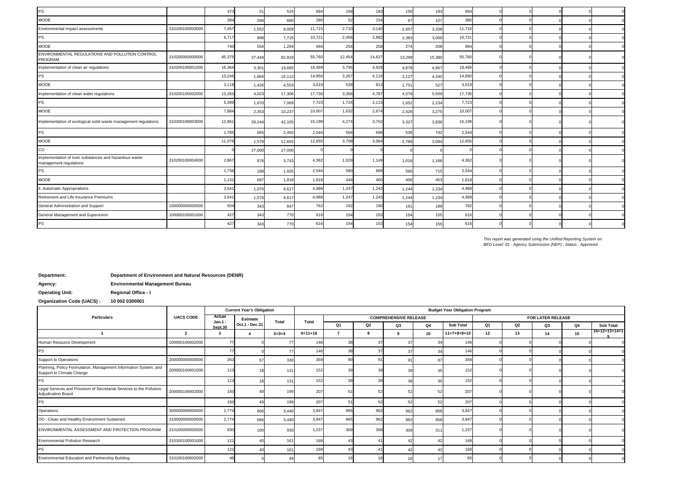| <b>PS</b>                                                                        |                 | 473    | 5'     | 524    | 684    | 158    | 183    | 150    | 193    | 684    |  |  |          |
|----------------------------------------------------------------------------------|-----------------|--------|--------|--------|--------|--------|--------|--------|--------|--------|--|--|----------|
| <b>MOOE</b>                                                                      |                 | 384    | 296    | 680    | 380    | 52     | 154    | 67     | 107    | 380    |  |  |          |
| Environmental impact assessments                                                 | 310100100003000 | 7,457  | 1,552  | 9,009  | 11,715 | 2,710  | 3,140  | 2,657  | 3,208  | 11,715 |  |  |          |
| <b>PS</b>                                                                        |                 | 6,717  | 998    | 7,715  | 10,721 | 2,456  | 2,882  | 2,383  | 3,000  | 10,72' |  |  |          |
| <b>MOOE</b>                                                                      |                 | 740    | 554    | 1,294  | 994    | 254    | 258    | 274    | 208    | 994    |  |  |          |
| ENVIRONMENTAL REGULATIONS AND POLLUTION CONTROL<br>PROGRAM                       | 310200000000000 | 45,375 | 37,444 | 82,819 | 55,760 | 12,454 | 14,627 | 13,299 | 15,380 | 55,760 |  |  |          |
| Implementation of clean air regulations                                          | 310200100001000 | 16,364 | 3,301  | 19,665 | 18,469 | 3,795  | 4,929  | 4,878  | 4,867  | 18,469 |  |  |          |
| <b>PS</b>                                                                        |                 | 13,246 | 1,866  | 15,112 | 14,850 | 3,267  | 4,116  | 3,127  | 4,340  | 14,850 |  |  |          |
| <b>MOOE</b>                                                                      |                 | 3,118  | 1,435  | 4,553  | 3,619  | 528    | 813    | 1,751  | 527    | 3,619  |  |  |          |
| Implementation of clean water regulations                                        | 310200100002000 | 13,283 | 4,023  | 17,306 | 17,730 | 3,356  | 4,787  | 4,078  | 5,509  | 17,730 |  |  |          |
| <b>PS</b>                                                                        |                 | 5,399  | 1,670  | 7,069  | 7,723  | 1,724  | 2,113  | 1,652  | 2,234  | 7,723  |  |  |          |
| <b>MOOE</b>                                                                      |                 | 7,884  | 2,353  | 10,237 | 10,007 | 1,632  | 2,674  | 2,426  | 3,275  | 10,007 |  |  |          |
| Implementation of ecological solid waste management regulations                  | 310200100003000 | 12,861 | 29,244 | 42,105 | 15,199 | 4,274  | 3,762  | 3,327  | 3,836  | 15,199 |  |  |          |
| <b>PS</b>                                                                        |                 | 1,785  | 665    | 2,450  | 2,544  | 566    | 698    | 538    | 742    | 2,544  |  |  |          |
| <b>MOOE</b>                                                                      |                 | 11,076 | 1,579  | 12,655 | 12,655 | 3,708  | 3,064  | 2,789  | 3,094  | 12,655 |  |  |          |
| CO                                                                               |                 |        | 27,000 | 27,000 |        |        |        |        |        |        |  |  | $\Omega$ |
| Implementation of toxic substances and hazardous waste<br>management regulations | 310200100004000 | 2,867  | 876    | 3,743  | 4,362  | 1,029  | 1,149  | 1,016  | 1,168  | 4,362  |  |  |          |
| <b>PS</b>                                                                        |                 | 1,736  | 189    | 1,925  | 2,544  | 580    | 689    | 560    | 715    | 2,544  |  |  |          |
| <b>MOOE</b>                                                                      |                 | 1,131  | 687    | 1,818  | 1,818  | 449    | 460    | 456    | 453    | 1,818  |  |  | $\Omega$ |
| II. Automatic Appropriations                                                     |                 | 3,541  | 1,076  | 4,617  | 4,968  | 1,247  | 1,243  | 1,244  | 1,234  | 4,968  |  |  |          |
| Retirement and Life Insurance Premiums                                           |                 | 3,541  | 1,076  | 4,617  | 4,968  | 1,247  | 1,243  | 1,244  | 1,234  | 4,968  |  |  | $\Omega$ |
| General Administration and Support                                               | 100000000000000 | 504    | 343    | 847    | 762    | 192    | 190    | 191    | 189    | 762    |  |  |          |
| General Management and Supervision                                               | 100000100001000 | 427    | 343    | 770    | 616    | 154    | 153    | 154    | 155    | 616    |  |  |          |
| <b>PS</b>                                                                        |                 | 427    | 343    | 770    | 616    | 154    | 153    | 154    | 155    | 616    |  |  |          |
|                                                                                  |                 |        |        |        |        |        |        |        |        |        |  |  |          |

*BED Level: 01 - Agency Submission (NEP) ; Status : Approved This report was generated using the Unified Reporting System on* 

**Department: Department of Environment and Natural Resources (DENR)**

**Agency: Environmental Management Bureau**

**Operating Unit: Regional Office - I**

**Organization Code (UACS) : 10 002 0300001**

|                                                                                               |                         |                            | <b>Current Year's Obligation</b>  |                 | <b>Budget Year Obligation Program</b> |                |     |                              |     |                  |                |    |                   |    |               |  |
|-----------------------------------------------------------------------------------------------|-------------------------|----------------------------|-----------------------------------|-----------------|---------------------------------------|----------------|-----|------------------------------|-----|------------------|----------------|----|-------------------|----|---------------|--|
| <b>Particulars</b>                                                                            | <b>UACS CODE</b>        | Actual<br>Jan.1<br>Sept.30 | <b>Estimate</b><br>Oct.1 - Dec.31 | Total           | Total                                 |                |     | <b>COMPREHENSIVE RELEASE</b> |     |                  |                |    | FOR LATER RELEASE |    |               |  |
|                                                                                               |                         |                            |                                   |                 |                                       | Q <sub>1</sub> | Q2  | Q3                           | Q4  | <b>Sub Total</b> | Q <sub>1</sub> | Q2 | Q3                | Q4 | Sub Total     |  |
|                                                                                               | $\overline{\mathbf{2}}$ | 3                          |                                   | $5 = 3 + 4$     | $6=11+16$                             |                | o   |                              | 10  | $11=7+8+9+10$    | 12             | 13 | 14                | 15 | 16=12+13+14+1 |  |
| Human Resource Development                                                                    | 100000100002000         | 77                         |                                   |                 | 146                                   |                | 37  |                              |     | 146              |                |    |                   |    |               |  |
| PS                                                                                            |                         | 77                         |                                   |                 | 146                                   | 38             | 37  |                              |     | 146'             |                |    |                   |    |               |  |
| Support to Operations                                                                         | 200000000000000         | 263                        | 67                                | 330             | 359                                   |                | 9   |                              |     | 359              |                |    |                   |    |               |  |
| Planning, Policy Formulation, Management Information System, and<br>Support to Climate Change | 200000100001000         | 113                        |                                   | 13              | 152                                   |                | 39  |                              |     |                  |                |    |                   |    |               |  |
| PS                                                                                            |                         | 113                        |                                   | 13              | 152                                   | 39             | 39  |                              |     | 152              |                |    |                   |    |               |  |
| Legal Services and Provision of Secretariat Services to the Pollution<br>Adjudication Board   | 200000100002000         | 150                        |                                   | 19 <sup>c</sup> | 207                                   |                | 52  |                              |     | 207              |                |    |                   |    |               |  |
| PS                                                                                            |                         | 150                        |                                   | 199             | 207                                   |                | 52  |                              |     | 207              |                |    |                   |    |               |  |
| Operations                                                                                    | 300000000000000         | 2,774                      | 666                               | 3,440           | 3,847                                 | 965            | 962 | 962                          | 958 | 3,847            |                |    |                   |    |               |  |
| OO : Clean and Healthy Environment Sustained                                                  | 310000000000000         | 2,774                      | 666                               | 3,440           | 3,847                                 | 965            | 962 | 962                          | 958 | 3,847            |                |    |                   |    |               |  |
| ENVIRONMENTAL ASSESSMENT AND PROTECTION PROGRAM                                               | 310100000000000         | 830                        | 100                               | 930             | 1,237                                 | 309            | 308 | 309                          | 311 | 1,237            |                |    |                   |    |               |  |
| <b>Environmental Pollution Research</b>                                                       | 310100100001000         | 121                        | 40                                | 16'             | 168                                   |                |     |                              |     | 168              |                |    |                   |    |               |  |
| <b>PS</b>                                                                                     |                         | 12'                        |                                   | 16 <sup>°</sup> | 168                                   |                |     |                              |     | 168              |                |    |                   |    |               |  |
| Environmental Education and Partnership Building                                              | 310100100002000         | 49                         |                                   |                 |                                       |                |     |                              |     |                  |                |    |                   |    |               |  |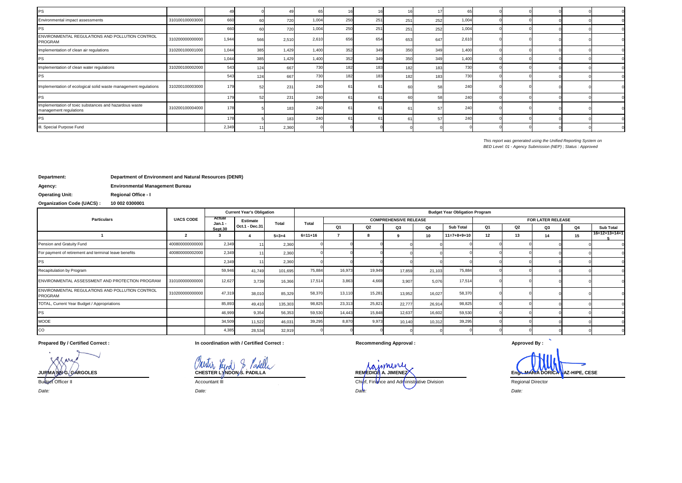| PS                                                                               |                 |       |     |       |       |     |     |     |     |       |  |  |  |
|----------------------------------------------------------------------------------|-----------------|-------|-----|-------|-------|-----|-----|-----|-----|-------|--|--|--|
| Environmental impact assessments                                                 | 310100100003000 | 660   |     | 720   | 1,004 | 250 | 251 | 251 | 252 | 1,004 |  |  |  |
| PS                                                                               |                 | 660   |     | 720   | 1,004 | 250 | 251 | 251 | 252 | 1,004 |  |  |  |
| ENVIRONMENTAL REGULATIONS AND POLLUTION CONTROL<br>PROGRAM                       | 310200000000000 | 1,944 | 566 | 2,510 | 2,610 | 656 | 654 | 653 |     | 2,610 |  |  |  |
| Implementation of clean air regulations                                          | 310200100001000 | 1,044 | 385 | 1.429 | 1.400 | 352 | 349 | 350 | 349 | 1,400 |  |  |  |
| <b>PS</b>                                                                        |                 | 1,044 | 385 | 1.429 | 1.400 | 352 | 349 | 350 | 349 | 1,400 |  |  |  |
| Implementation of clean water regulations                                        | 310200100002000 | 543   | 124 | 667   | 730   | 182 |     |     |     | 730   |  |  |  |
| <b>PS</b>                                                                        |                 | 543   | 124 | 667   | 730   | 182 |     | 182 | 18  | 730   |  |  |  |
| Implementation of ecological solid waste management regulations                  | 310200100003000 | 179   |     | 231   | 240   |     |     |     |     | 240   |  |  |  |
| PS                                                                               |                 | 17    |     | 231   | 240   |     |     |     |     | 240   |  |  |  |
| Implementation of toxic substances and hazardous waste<br>management regulations | 310200100004000 | 178   |     | 183   | 240   |     |     |     |     | 240   |  |  |  |
| PS                                                                               |                 | 17    |     | 183   | 240   |     |     |     |     | 240   |  |  |  |
| III. Special Purpose Fund                                                        |                 | 2,349 |     | 2,360 |       |     |     |     |     |       |  |  |  |

*This report was generated using the Unified Reporting System on BED Level: 01 - Agency Submission (NEP) ; Status : Approved*

#### **Department: Department of Environment and Natural Resources (DENR)**

**Agency: Environmental Management Bureau**

**Operating Unit: Regional Office - I**

**Organization Code (UACS) : 10 002 0300001**

| <b>Particulars</b>                                         |                  |                                | <b>Current Year's Obligation</b> |             | <b>Budget Year Obligation Program</b> |        |        |                              |           |                  |                |                |                   |    |                  |  |
|------------------------------------------------------------|------------------|--------------------------------|----------------------------------|-------------|---------------------------------------|--------|--------|------------------------------|-----------|------------------|----------------|----------------|-------------------|----|------------------|--|
|                                                            | <b>UACS CODE</b> | Actual<br>$Jan.1 -$<br>Sept.30 | Estimate<br>Oct.1 - Dec.31       | Total       | Total                                 |        |        | <b>COMPREHENSIVE RELEASE</b> |           |                  |                |                | FOR LATER RELEASE |    |                  |  |
|                                                            |                  |                                |                                  |             |                                       | Q1     | Q2     | Q3                           | <b>Q4</b> | <b>Sub Total</b> | Q <sub>1</sub> | Q <sub>2</sub> | Q3                | Q4 | <b>Sub Total</b> |  |
|                                                            |                  |                                |                                  | $5 = 3 + 4$ | $6=11+16$                             |        |        |                              | 10        | $11=7+8+9+10$    | 12             | 13             | 14                | 15 | 16=12+13+14+1    |  |
| Pension and Gratuity Fund                                  | 400800000000000  | 2,349                          |                                  | 2,360       |                                       |        |        |                              |           |                  |                |                |                   |    |                  |  |
| For payment of retirement and terminal leave benefits      | 400800000002000  | 2,349                          | 1 <sup>1</sup>                   | 2,360       |                                       |        |        |                              |           |                  |                |                |                   |    |                  |  |
| PS                                                         |                  | 2,349                          | 1 <sup>1</sup>                   | 2,360       |                                       |        |        |                              |           |                  |                |                |                   |    |                  |  |
| Recapitulation by Program                                  |                  | 59,946                         | 41,749                           | 101,695     | 75,884                                | 16,973 | 19,949 | 17,859                       | 21,103    | 75,884           |                |                |                   |    |                  |  |
| ENVIRONMENTAL ASSESSMENT AND PROTECTION PROGRAM            | 310100000000000  | 12,627                         | 3,739                            | 16,366      | 17.51                                 | 3,863  | 4.668  | 3.907                        | 5.076     | 17,514           |                |                |                   |    |                  |  |
| ENVIRONMENTAL REGULATIONS AND POLLUTION CONTROL<br>PROGRAM | 310200000000000  | 47,319                         | 38,010                           | 85,329      | 58,37                                 | 13,110 | 15.281 | 13,952                       | 16,027    | 58,370           |                |                |                   |    |                  |  |
| TOTAL, Current Year Budget / Appropriations                |                  | 85,893                         | 49,410                           | 135,303     | 98,825                                | 23,313 | 25,821 | 22,777                       | 26,914    | 98,825           |                |                |                   |    |                  |  |
| <b>PS</b>                                                  |                  | 46,99                          | 9,354                            | 56,353      | 59,530                                | 14,443 | 15,848 | 12,637                       | 16,602    | 59,530           |                |                |                   |    |                  |  |
| <b>MOOE</b>                                                |                  | 34,509                         | 11,522                           | 46,031      | 39,295                                | 8,870  | 9.973  | 10,140                       | 10,312    | 39,295           |                |                |                   |    |                  |  |
| CO                                                         |                  | 4,385                          | 28,534                           | 32,919      |                                       |        |        |                              |           |                  |                |                |                   |    |                  |  |

**Prepared By / Certified Correct : In coordination with / Certified Correct : Recommending Approval : Approved By :**

 $\overline{\phantom{a}}$ 

*Date:*

Budget Officer II Chief, Finance and Administrative Division Regional Director

*Date: Date: Date:*

**JURMA NN G. GARGOLES CHESTER LYNDON S. PADILLA REMEDIOS A. JIMENEZ Engr. MARIA DORICA NAZ-HIPE, CESE**